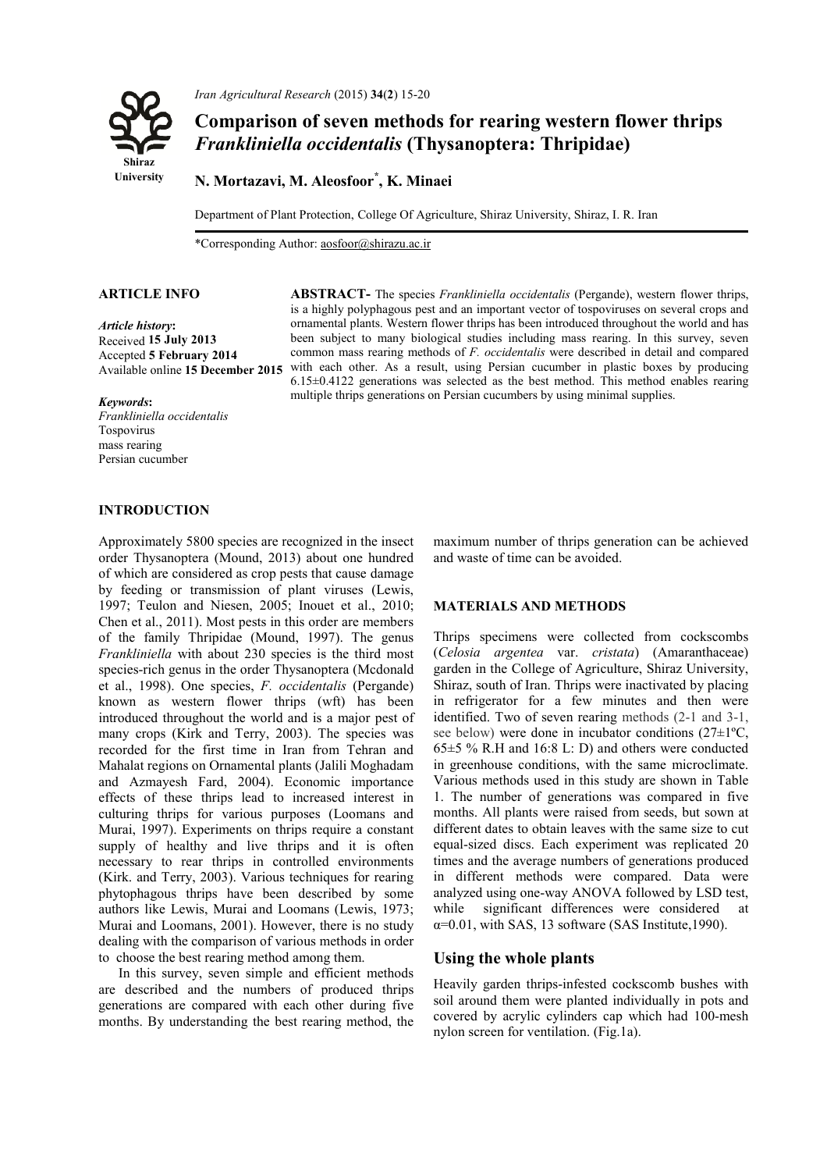

*Iran Agricultural Research* (2015) **34**(**2**) 15-20

# **Comparison of seven methods for rearing western flower thrips**  *Frankliniella occidentalis* **(Thysanoptera: Thripidae)**

**N. Mortazavi, M. Aleosfoor\* , K. Minaei** 

Department of Plant Protection, College Of Agriculture, Shiraz University, Shiraz, I. R. Iran

\*Corresponding Author: aosfoor@shirazu.ac.ir

*Article history***:** Received **15 July 2013** Accepted **5 February 2014** Available online **15 December 2015**

#### **ARTICLE INFO ABSTRACT-** The species *Frankliniella occidentalis* (Pergande), western flower thrips, is a highly polyphagous pest and an important vector of tospoviruses on several crops and ornamental plants. Western flower thrips has been introduced throughout the world and has been subject to many biological studies including mass rearing. In this survey, seven common mass rearing methods of *F. occidentalis* were described in detail and compared with each other. As a result, using Persian cucumber in plastic boxes by producing 6.15±0.4122 generations was selected as the best method. This method enables rearing multiple thrips generations on Persian cucumbers by using minimal supplies.

#### *Keywords***:**

*Frankliniella occidentalis*  Tospovirus mass rearing Persian cucumber

### **INTRODUCTION**

Approximately 5800 species are recognized in the insect order Thysanoptera (Mound, 2013) about one hundred of which are considered as crop pests that cause damage by feeding or transmission of plant viruses (Lewis, 1997; Teulon and Niesen, 2005; Inouet et al., 2010; Chen et al., 2011). Most pests in this order are members of the family Thripidae (Mound, 1997). The genus *Frankliniella* with about 230 species is the third most species-rich genus in the order Thysanoptera (Mcdonald et al., 1998). One species, *F. occidentalis* (Pergande) known as western flower thrips (wft) has been introduced throughout the world and is a major pest of many crops (Kirk and Terry, 2003). The species was recorded for the first time in Iran from Tehran and Mahalat regions on Ornamental plants (Jalili Moghadam and Azmayesh Fard, 2004). Economic importance effects of these thrips lead to increased interest in culturing thrips for various purposes (Loomans and Murai, 1997). Experiments on thrips require a constant supply of healthy and live thrips and it is often necessary to rear thrips in controlled environments (Kirk. and Terry, 2003). Various techniques for rearing phytophagous thrips have been described by some authors like Lewis, Murai and Loomans (Lewis, 1973; Murai and Loomans, 2001). However, there is no study dealing with the comparison of various methods in order to choose the best rearing method among them.

In this survey, seven simple and efficient methods are described and the numbers of produced thrips generations are compared with each other during five months. By understanding the best rearing method, the

maximum number of thrips generation can be achieved and waste of time can be avoided.

#### **MATERIALS AND METHODS**

Thrips specimens were collected from cockscombs (*Celosia argentea* var. *cristata*) (Amaranthaceae) garden in the College of Agriculture, Shiraz University, Shiraz, south of Iran. Thrips were inactivated by placing in refrigerator for a few minutes and then were identified. Two of seven rearing methods (2-1 and 3-1, see below) were done in incubator conditions (27±1ºC, 65±5 % R.H and 16:8 L: D) and others were conducted in greenhouse conditions, with the same microclimate. Various methods used in this study are shown in Table 1. The number of generations was compared in five months. All plants were raised from seeds, but sown at different dates to obtain leaves with the same size to cut equal-sized discs. Each experiment was replicated 20 times and the average numbers of generations produced in different methods were compared. Data were analyzed using one-way ANOVA followed by LSD test, while significant differences were considered at  $\alpha$ =0.01, with SAS, 13 software (SAS Institute, 1990).

### **Using the whole plants**

Heavily garden thrips-infested cockscomb bushes with soil around them were planted individually in pots and covered by acrylic cylinders cap which had 100-mesh nylon screen for ventilation. (Fig.1a).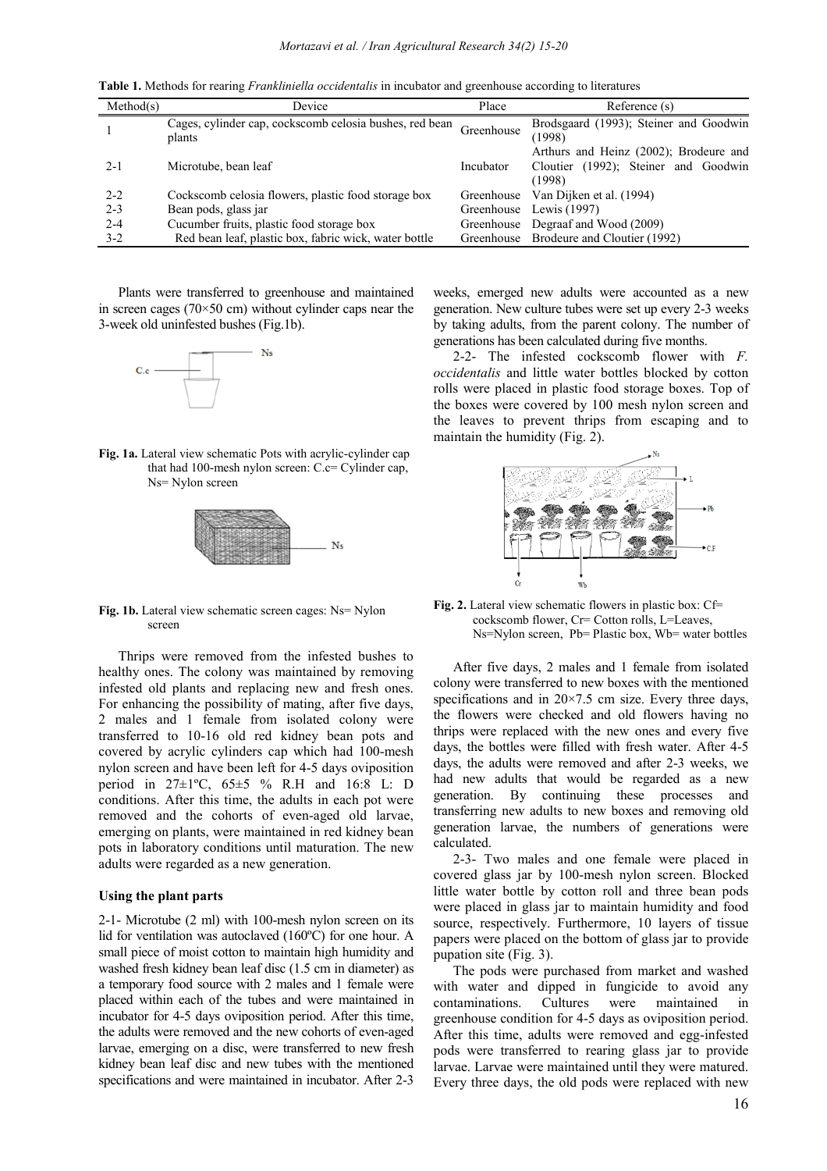| Table 1. Methods for rearing <i>Frankliniella occidentalis</i> in incubator and greenhouse according to literatures |                                                                   |            |                                                                                          |
|---------------------------------------------------------------------------------------------------------------------|-------------------------------------------------------------------|------------|------------------------------------------------------------------------------------------|
| Method(s)                                                                                                           | Device                                                            | Place      | Reference (s)                                                                            |
|                                                                                                                     | Cages, cylinder cap, cockscomb celosia bushes, red bean<br>plants | Greenhouse | Brodsgaard (1993); Steiner and Goodwin<br>(1998)                                         |
| $2 - 1$                                                                                                             | Microtube, bean leaf                                              | Incubator  | Arthurs and Heinz (2002); Brodeure and<br>Cloutier (1992); Steiner and Goodwin<br>(1998) |
| $2 - 2$                                                                                                             | Cockscomb celosia flowers, plastic food storage box               | Greenhouse | Van Dijken et al. (1994)                                                                 |
| $2 - 3$                                                                                                             | Bean pods, glass jar                                              |            | Greenhouse Lewis (1997)                                                                  |
| $2 - 4$                                                                                                             | Cucumber fruits, plastic food storage box                         |            | Greenhouse Degraaf and Wood (2009)                                                       |
| $3-2$                                                                                                               | Red bean leaf, plastic box, fabric wick, water bottle             |            | Greenhouse Brodeure and Cloutier (1992)                                                  |

Plants were transferred to greenhouse and maintained in screen cages (70×50 cm) without cylinder caps near the 3-week old uninfested bushes (Fig.1b). ).<br>th acrylic-cylinder cap



Fig. 1a. Lateral view schematic Pots with acrylic-cylinder cap that had 100-mesh nylon screen: C.c= Cylinder cap, Ns= Nylon screen



Fig. 1b. Lateral view schematic screen cages: Ns= Nylon screen

Thrips were removed from the infested bushes to healthy ones. The colony was maintained by removing infested old plants and replacing new and fresh ones. For enhancing the possibility of mating, after five days, 2 males and 1 female from isolated colony were transferred to 10-16 old red kidney bean pots and covered by acrylic cylinders cap which had 100 nylon screen and have been left for 4 4-5 days oviposition period in  $27 \pm 1^{\circ}C$ ,  $65 \pm 5$  % R.H and 16:8 L: D conditions. After this time, the adults in each pot were conditions. After this time, the adults in each pot were removed and the cohorts of even-aged old larvae, emerging on plants, were maintained in red kidney bean pots in laboratory conditions until maturation. The new adults were regarded as a new generation. adults were regarded as a new generation.<br> **Using the plant parts**<br>
2-1- Microtube (2 ml) with 100-mesh nylon screen on its intained by removing<br>new and fresh ones.<br>ating, after five days,<br>solated colony were<br>dney bean pots and<br>which had 100-mesh

#### **Using the plant parts**

lid for ventilation was autoclaved (160ºC) for one hour. A small piece of moist cotton to maintain high humidity and washed fresh kidney bean leaf disc (1.5 cm in diameter) as a temporary food source with 2 males and 1 female were placed within each of the tubes and were maintained in incubator for 4-5 days oviposition period. After this time, incubator for 4-5 days oviposition period. After this time, the adults were removed and the new cohorts of even-aged larvae, emerging on a disc, were transferred to new fresh kidney bean leaf disc and new tubes with the mentioned specifications and were maintained in incubator. After 2-3 60°C)<br>ain hig<br>1.5 cm<br>les and<br>d wer

weeks, emerged new adults were accounted as a new generation. New culture tubes were set up every 2 2-3 weeks by taking adults, from the parent colony. The number of generations has been calculated during five months. d

2-2- The infested cockscomb flower with F. *occidentalis* and little water bottles blocked by cotton rolls were placed in plastic food storage boxes. Top of the boxes were covered by 100 mesh nylon screen and the leaves to prevent thrips from escaping and to maintain the humidity (Fig. 2).



Fig. 2. Lateral view schematic flowers in plastic box: Cf= cockscomb flower, Cr= Cotton rolls, L=Leaves, Ns=Nylon screen, Pb= Plastic box, Wb= water bottles

After five days, 2 males and 1 female from isolated colony were transferred to new boxes with the mentioned specifications and in  $20 \times 7.5$  cm size. Every three days, the flowers were checked and old flowers having no thrips were replaced with the new ones and every five days, the bottles were filled with fresh water. After 4 4-5 days, the adults were removed and after 2-3 weeks, we had new adults that would be regarded as a new generation. By continuing these processes and transferring new adults to new boxes and removing old generation larvae, the numbers of generations were calculated.

2-3- Two males and one female were placed in covered glass jar by 100-mesh nylon screen. Blocked little water bottle by cotton roll and three bean pods were placed in glass jar to maintain humidity and food source, respectively. Furthermore, 10 layers of tissue papers were placed on the bottom of glass jar to provide pupation site (Fig. 3). nesh referred in the series of generations were<br>the resh rylon screen. Blocked<br>in roll and three bean pods<br>maintain humidity and food<br>trimore, 10 layers of tissue<br>of the plass jar to provide<br>d from market and washed

The pods were purchased from market and washed with water and dipped in fungicide to avoid any contaminations. Cultures were maintained in greenhouse condition for 4-5 days as oviposition period. After this time, adults were removed and egg-infested pods were transferred to rearing glass jar to provide larvae. Larvae were maintained until they were matured. larvae. Larvae were maintained until they were matured.<br>Every three days, the old pods were replaced with new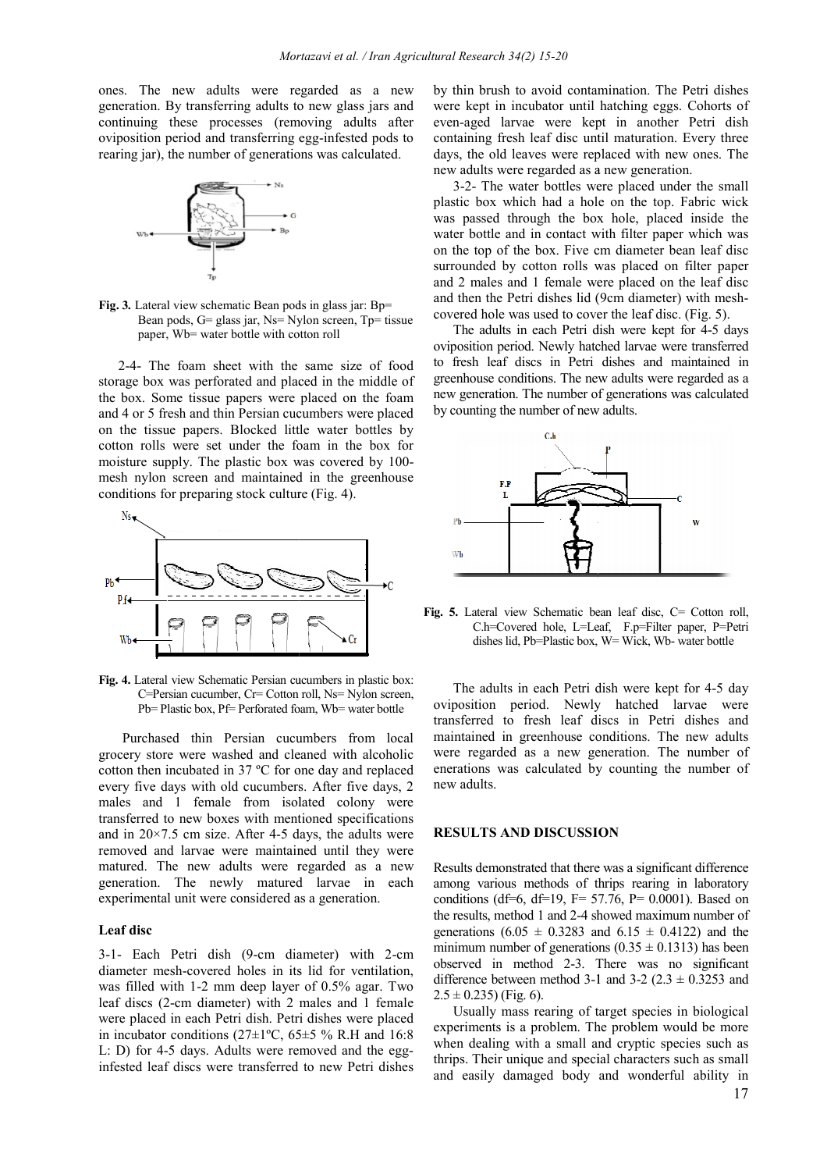ones. The new adults were regarded as a new ones. The new adults were regarded as a new generation. By transferring adults to new glass jars and continuing these processes (removing adults after oviposition period and transferring egg-infested pods to rearing jar), the number of generations was calculated.



**Fig. 3***.* Lateral view schematic Bean pods in glass jar: Bp= Bean pods, G= glass jar, Ns= Nylon screen, Tp= tissue paper, Wb= water bottle with cotton roll

2-4- The foam sheet with the same size of food storage box was perforated and placed in the middle of the box. Some tissue papers were placed on the foam and 4 or 5 fresh and thin Persian cucumbers were placed on the tissue papers. Blocked little water bottles cotton rolls were set under the foam in the box for cotton rolls were set under the foam in the box for moisture supply. The plastic box was covered by 100mesh nylon screen and maintained in the greenhouse conditions for preparing stock culture (Fig. 4). ons was calculated.<br>
Solar in glass jar: Bp=<br>
Jylon screen, Tp= tissue<br>
otton roll<br>
2 same size of food<br>
aced in the middle of<br>
2 placed on the foam<br>
icumbers were placed<br>
ttle water bottles by



**Fig. 4.** Lateral view Schematic Persian cucumbers in plastic box: C=Persian cucumber, Cr= Cotton roll, Ns= Nylon screen, Pb= Plastic box, Pf= Perforated foam, Wb= water bottle

Purchased thin Persian cucumbers from local grocery store were washed and cleaned with cotton then incubated in 37 ºC for one day and replaced every five days with old cucumbers. After five days, 2 males and 1 female from isolated colony were transferred to new boxes with mentioned specifications and in  $20 \times 7.5$  cm size. After 4-5 days, the adults were removed and larvae were maintained until they were matured. The new adults were regarded as a new removed and larvae were maintained until they were<br>matured. The new adults were regarded as a new<br>generation. The newly matured larvae in each experimental unit were considered as a generation. rs. After five days, 2<br>olated colony were<br>tioned specifications<br>days, the adults were

#### **Leaf disc**

3-1- Each Petri dish (9-cm dia ameter) with 2-cm diameter mesh-covered holes in its lid for ventilation, was filled with  $1-2$  mm deep layer of  $0.5\%$  agar. Two leaf discs (2-cm diameter) with 2 males and 1 female were placed in each Petri dish. Petri dishes were placed in incubator conditions ( $27\pm1$ °C,  $65\pm5$  % R.H and 16:8 L: D) for 4-5 days. Adults were removed and the egg infested leaf discs were transferred to new Petri dishes ri dishes were placed<br> $5±5 \%$  R.H and  $16:8$ <br>emoved and the eggby thin brush to avoid contamination. The Petri dishes were kept in incubator until hatching eggs. Cohorts of even-aged larvae were kept in another Petri dish containing fresh leaf disc until maturation. Every three days, the old leaves were replaced with new ones. The new adults were regarded as a new generation. mination.<br>
hatching<br>
pt in and<br>
htil matura<br>
placed wit<br>
a new gene

3-2- The water bottles were placed under the small 3-2- The water bottles were placed under the small plastic box which had a hole on the top. Fabric wick was passed through the box hole, placed inside the water bottle and in contact with filter paper which was on the top of the box. Five cm diameter bean leaf disc surrounded by cotton rolls was placed on filter paper and 2 males and 1 female were placed on the leaf disc and 2 males and 1 female were placed on the leaf disc<br>and then the Petri dishes lid (9cm diameter) with meshcovered hole was used to cover the leaf disc. (Fig. 5).

ered hole was used to cover the leaf disc. (Fig. 5).<br>The adults in each Petri dish were kept for 4-5 days oviposition period. Newly hatched larvae were transferred to fresh leaf discs in Petri dishes and maintained in greenhouse conditions. The new adults were regarded as a to fresh leaf discs in Petri dishes and maintained in greenhouse conditions. The new adults were regarded as a new generation. The number of generations was calculated by counting the number of new adults.



Fig. 5. Lateral view Schematic bean leaf disc, C= Cotton roll, C.h=Covered hole, L=Leaf, F.p=Filter paper, P=Petri ateral view Schematic bean leaf disc, C= Cotton rc<br>C.h=Covered hole, L=Leaf, F.p=Filter paper, P=Pe<br>dishes lid, Pb=Plastic box, W= Wick, Wb- water bottle

The adults in each Petri dish were kept for 4 4-5 day oviposition period. Newly hatched larvae were transferred to fresh leaf discs in Petri dishes and maintained in greenhouse conditions. The new adults were regarded as a new generation. The number of enerations was calculated by counting the number of new adults. liscs in F<br>onditions.<br>eneration.<br>y counting

#### **RESULTS AND DISCUSSION ON**

Results demonstrated that there was a significant difference among various methods of thrips rearing in laboratory conditions (df=6, df=19, F= 57.76, P= 0.0001). Based on the results, method 1 and 2-4 showed maximum number of the results, method 1 and 2-4 showed maximum number of generations  $(6.05 \pm 0.3283$  and  $6.15 \pm 0.4122)$  and the minimum number of generations  $(0.35 \pm 0.1313)$  has been minimum number of generations  $(0.35 \pm 0.1313)$  has been<br>observed in method 2-3. There was no significant difference between method 3-1 and 3-2  $(2.3 \pm 0.3253$  and  $2.5 \pm 0.235$ ) (Fig. 6).

Usually mass rearing of target species in biologi biological experiments is a problem. The problem would be more when dealing with a small and cryptic species such as thrips. Their unique and special characters such as small and easily damaged body and wonderful ability in he p<br>and<br>cial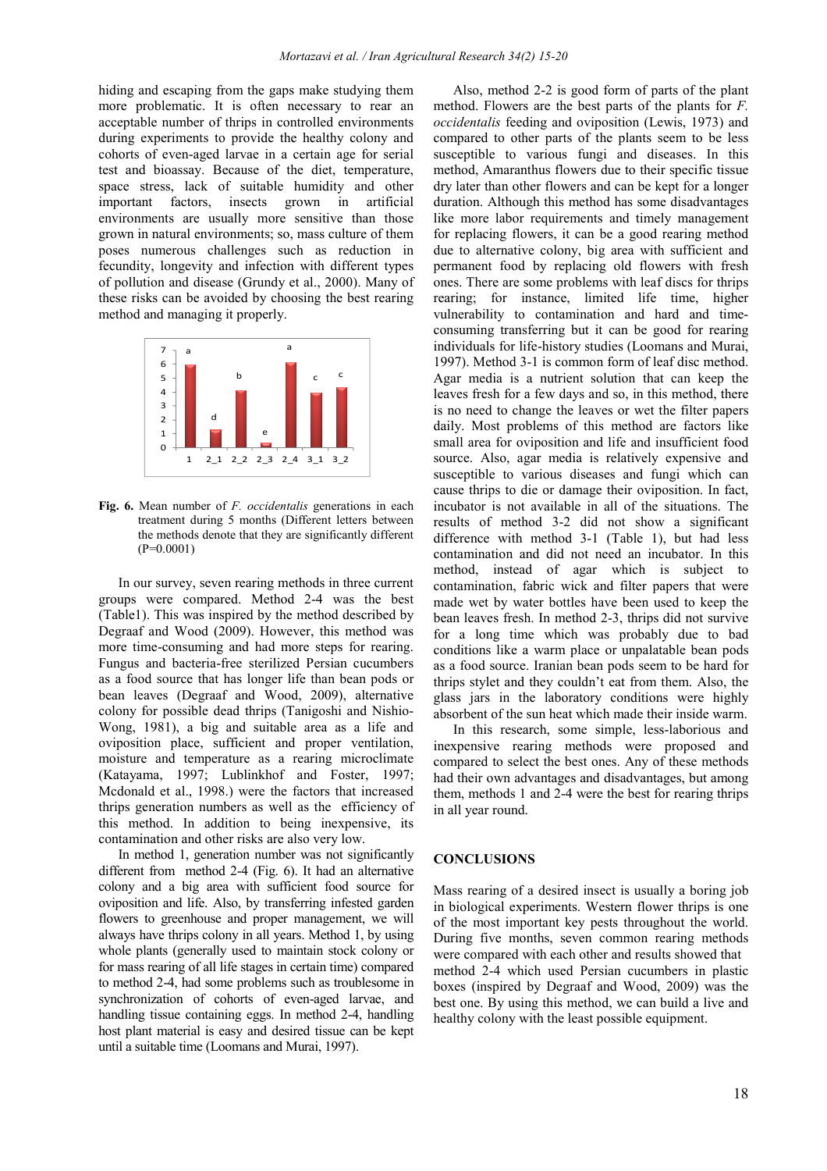hiding and escaping from the gaps make studying them more problematic. It is often necessary to rear an acceptable number of thrips in controlled environments during experiments to provide the healthy colony and cohorts of even-aged larvae in a certain age for serial test and bioassay. Because of the diet, temperature, space stress, lack of suitable humidity and other important factors, insects grown in artificial environments are usually more sensitive than those grown in natural environments; so, mass culture of them poses numerous challenges such as reduction in fecundity, longevity and infection with different types of pollution and disease (Grundy et al., 2000). Many of these risks can be avoided by choosing the best rearing method and managing it properly.



**Fig. 6.** Mean number of *F. occidentalis* generations in each treatment during 5 months (Different letters between the methods denote that they are significantly different  $(P=0.0001)$ 

In our survey, seven rearing methods in three current groups were compared. Method 2-4 was the best (Table1). This was inspired by the method described by Degraaf and Wood (2009). However, this method was more time-consuming and had more steps for rearing. Fungus and bacteria-free sterilized Persian cucumbers as a food source that has longer life than bean pods or bean leaves (Degraaf and Wood, 2009), alternative colony for possible dead thrips (Tanigoshi and Nishio-Wong, 1981), a big and suitable area as a life and oviposition place, sufficient and proper ventilation, moisture and temperature as a rearing microclimate (Katayama, 1997; Lublinkhof and Foster, 1997; Mcdonald et al., 1998.) were the factors that increased thrips generation numbers as well as the efficiency of this method. In addition to being inexpensive, its contamination and other risks are also very low.

In method 1, generation number was not significantly different from method 2-4 (Fig. 6). It had an alternative colony and a big area with sufficient food source for oviposition and life. Also, by transferring infested garden flowers to greenhouse and proper management, we will always have thrips colony in all years. Method 1, by using whole plants (generally used to maintain stock colony or for mass rearing of all life stages in certain time) compared to method 2-4, had some problems such as troublesome in synchronization of cohorts of even-aged larvae, and handling tissue containing eggs. In method 2-4, handling host plant material is easy and desired tissue can be kept until a suitable time (Loomans and Murai, 1997).

Also, method 2-2 is good form of parts of the plant method. Flowers are the best parts of the plants for *F. occidentalis* feeding and oviposition (Lewis, 1973) and compared to other parts of the plants seem to be less susceptible to various fungi and diseases. In this method, Amaranthus flowers due to their specific tissue dry later than other flowers and can be kept for a longer duration. Although this method has some disadvantages like more labor requirements and timely management for replacing flowers, it can be a good rearing method due to alternative colony, big area with sufficient and permanent food by replacing old flowers with fresh ones. There are some problems with leaf discs for thrips rearing; for instance, limited life time, higher vulnerability to contamination and hard and timeconsuming transferring but it can be good for rearing individuals for life-history studies (Loomans and Murai, 1997). Method 3-1 is common form of leaf disc method. Agar media is a nutrient solution that can keep the leaves fresh for a few days and so, in this method, there is no need to change the leaves or wet the filter papers daily. Most problems of this method are factors like small area for oviposition and life and insufficient food source. Also, agar media is relatively expensive and susceptible to various diseases and fungi which can cause thrips to die or damage their oviposition. In fact, incubator is not available in all of the situations. The results of method 3-2 did not show a significant difference with method 3-1 (Table 1), but had less contamination and did not need an incubator. In this method, instead of agar which is subject to contamination, fabric wick and filter papers that were made wet by water bottles have been used to keep the bean leaves fresh. In method 2-3, thrips did not survive for a long time which was probably due to bad conditions like a warm place or unpalatable bean pods as a food source. Iranian bean pods seem to be hard for thrips stylet and they couldn't eat from them. Also, the glass jars in the laboratory conditions were highly absorbent of the sun heat which made their inside warm.

In this research, some simple, less-laborious and inexpensive rearing methods were proposed and compared to select the best ones. Any of these methods had their own advantages and disadvantages, but among them, methods 1 and 2-4 were the best for rearing thrips in all year round.

#### **CONCLUSIONS**

Mass rearing of a desired insect is usually a boring job in biological experiments. Western flower thrips is one of the most important key pests throughout the world. During five months, seven common rearing methods were compared with each other and results showed that method 2-4 which used Persian cucumbers in plastic boxes (inspired by Degraaf and Wood, 2009) was the best one. By using this method, we can build a live and healthy colony with the least possible equipment.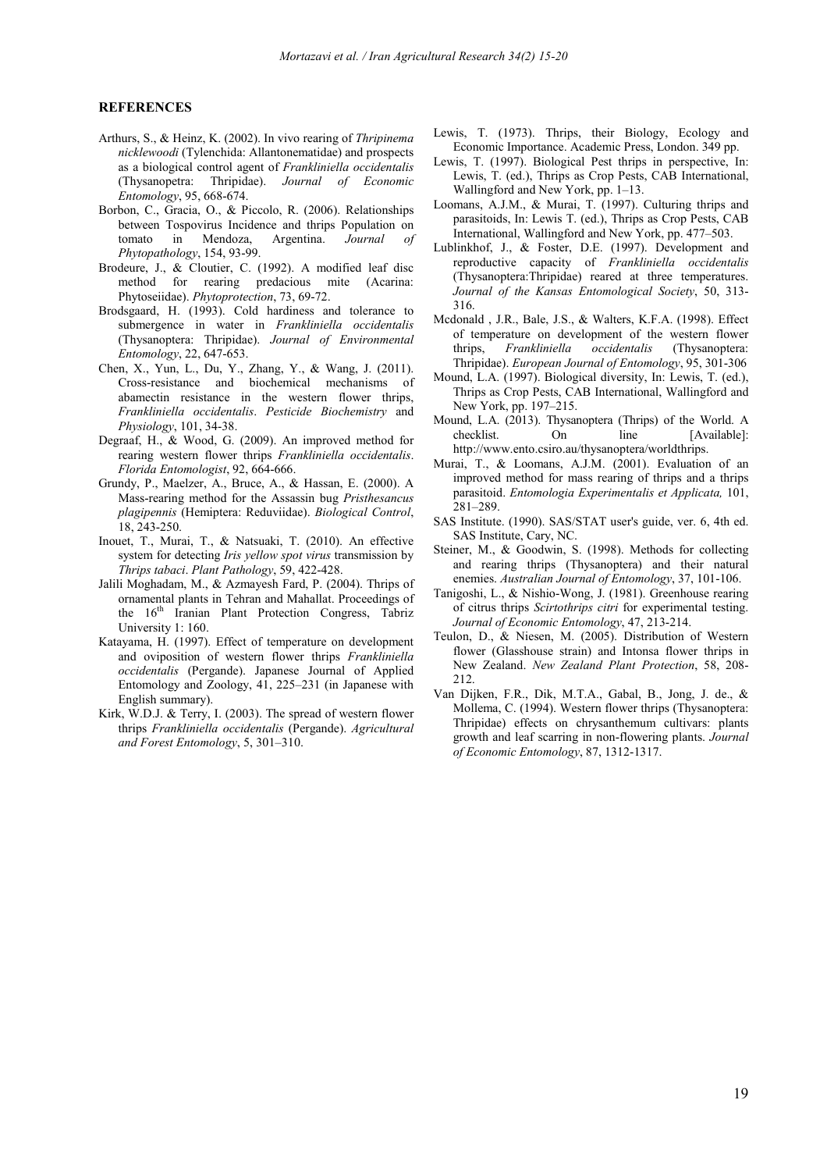#### **REFERENCES**

- Arthurs, S., & Heinz, K. (2002) . In vivo rearing of *Thripinema nicklewoodi* (Tylenchida: Allantonematidae) and prospects as a biological control agent of *Frankliniella occidentalis*  (Thysanopetra: Thripidae). *Journal of Economic Entomology*, 95, 668-674.
- Borbon, C., Gracia, O., & Piccolo, R. (2006). Relationships between Tospovirus Incidence and thrips Population on tomato in Mendoza, Argentina. *Journal of Phytopathology*, 154, 93-99.
- Brodeure, J., & Cloutier, C. (1992). A modified leaf disc method for rearing predacious mite (Acarina: Phytoseiidae). *Phytoprotection*, 73, 69-72.
- Brodsgaard, H. (1993). Cold hardiness and tolerance to submergence in water in *Frankliniella occidentalis* (Thysanoptera: Thripidae). *Journal of Environmental Entomology*, 22, 647-653.
- Chen, X., Yun, L., Du, Y., Zhang, Y., & Wang, J. (2011). Cross-resistance and biochemical mechanisms of abamectin resistance in the western flower thrips, *Frankliniella occidentalis*. *Pesticide Biochemistry* and *Physiology*, 101, 34-38.
- Degraaf, H., & Wood, G. (2009). An improved method for rearing western flower thrips *Frankliniella occidentalis*. *Florida Entomologist*, 92, 664-666.
- Grundy, P., Maelzer, A., Bruce, A., & Hassan, E. (2000). A Mass-rearing method for the Assassin bug *Pristhesancus plagipennis* (Hemiptera: Reduviidae). *Biological Control*, 18, 243-250.
- Inouet, T., Murai, T., & Natsuaki, T. (2010). An effective system for detecting *Iris yellow spot virus* transmission by *Thrips tabaci*. *Plant Pathology*, 59, 422-428.
- Jalili Moghadam, M., & Azmayesh Fard, P. (2004). Thrips of ornamental plants in Tehran and Mahallat. Proceedings of the  $16<sup>th</sup>$  Iranian Plant Protection Congress, Tabriz University 1: 160.
- Katayama, H. (1997). Effect of temperature on development and oviposition of western flower thrips *Frankliniella occidentalis* (Pergande). Japanese Journal of Applied Entomology and Zoology, 41, 225–231 (in Japanese with English summary).
- Kirk, W.D.J. & Terry, I. (2003). The spread of western flower thrips *Frankliniella occidentalis* (Pergande). *Agricultural and Forest Entomology*, 5, 301–310.
- Lewis, T. (1973). Thrips, their Biology, Ecology and Economic Importance. Academic Press, London. 349 pp.
- Lewis, T. (1997). Biological Pest thrips in perspective, In: Lewis, T. (ed.), Thrips as Crop Pests, CAB International, Wallingford and New York, pp. 1–13.
- Loomans, A.J.M., & Murai, T. (1997). Culturing thrips and parasitoids, In: Lewis T. (ed.), Thrips as Crop Pests, CAB International, Wallingford and New York, pp. 477–503.
- Lublinkhof, J., & Foster, D.E. (1997). Development and reproductive capacity of *Frankliniella occidentalis* (Thysanoptera:Thripidae) reared at three temperatures. *Journal of the Kansas Entomological Society*, 50, 313- 316.
- Mcdonald , J.R., Bale, J.S., & Walters, K.F.A. (1998). Effect of temperature on development of the western flower thrips, *Frankliniella occidentalis* (Thysanoptera: Thripidae). *European Journal of Entomology*, 95, 301-306
- Mound, L.A. (1997). Biological diversity, In: Lewis, T. (ed.), Thrips as Crop Pests, CAB International, Wallingford and New York, pp. 197–215.
- Mound, L.A. (2013). Thysanoptera (Thrips) of the World. A checklist. On line [Available]: http://www.ento.csiro.au/thysanoptera/worldthrips.
- Murai, T., & Loomans, A.J.M. (2001). Evaluation of an improved method for mass rearing of thrips and a thrips parasitoid. *Entomologia Experimentalis et Applicata,* 101, 281–289.
- SAS Institute. (1990). SAS/STAT user's guide, ver. 6, 4th ed. SAS Institute, Cary, NC.
- Steiner, M., & Goodwin, S. (1998). Methods for collecting and rearing thrips (Thysanoptera) and their natural enemies. *Australian Journal of Entomology*, 37, 101-106.
- Tanigoshi, L., & Nishio-Wong, J. (1981). Greenhouse rearing of citrus thrips *Scirtothrips citri* for experimental testing. *Journal of Economic Entomology*, 47, 213-214.
- Teulon, D., & Niesen, M. (2005). Distribution of Western flower (Glasshouse strain) and Intonsa flower thrips in New Zealand. *New Zealand Plant Protection*, 58, 208- 212.
- Van Dijken, F.R., Dik, M.T.A., Gabal, B., Jong, J. de., & Mollema, C. (1994). Western flower thrips (Thysanoptera: Thripidae) effects on chrysanthemum cultivars: plants growth and leaf scarring in non-flowering plants. *Journal of Economic Entomology*, 87, 1312-1317.